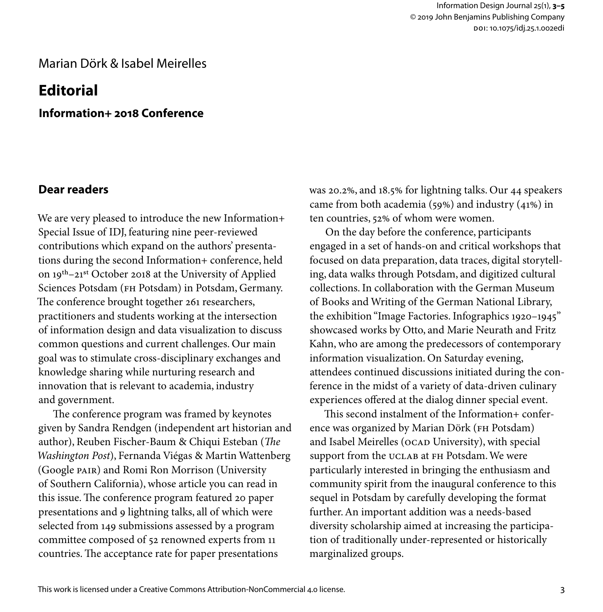## Marian Dörk & Isabel Meirelles

# **Editorial**

**Information+ 2018 Conference**

### **Dear readers**

We are very pleased to introduce the new Information+ Special Issue of IDJ, featuring nine peer-reviewed contributions which expand on the authors' presentations during the second Information+ conference, held on 19th–21st October 2018 at the University of Applied Sciences Potsdam (FH Potsdam) in Potsdam, Germany. The conference brought together 261 researchers, practitioners and students working at the intersection of information design and data visualization to discuss common questions and current challenges. Our main goal was to stimulate cross-disciplinary exchanges and knowledge sharing while nurturing research and innovation that is relevant to academia, industry and government.

The conference program was framed by keynotes given by Sandra Rendgen (independent art historian and author), Reuben Fischer-Baum & Chiqui Esteban (*The Washington Post*), Fernanda Viégas & Martin Wattenberg (Google PAIR) and Romi Ron Morrison (University of Southern California), whose article you can read in this issue. The conference program featured 20 paper presentations and 9 lightning talks, all of which were selected from 149 submissions assessed by a program committee composed of 52 renowned experts from 11 countries. The acceptance rate for paper presentations

was 20.2%, and 18.5% for lightning talks. Our 44 speakers came from both academia (59%) and industry (41%) in ten countries, 52% of whom were women.

On the day before the conference, participants engaged in a set of hands-on and critical workshops that focused on data preparation, data traces, digital storytelling, data walks through Potsdam, and digitized cultural collections. In collaboration with the German Museum of Books and Writing of the German National Library, the exhibition "Image Factories. Infographics 1920–1945" showcased works by Otto, and Marie Neurath and Fritz Kahn, who are among the predecessors of contemporary information visualization. On Saturday evening, attendees continued discussions initiated during the conference in the midst of a variety of data-driven culinary experiences offered at the dialog dinner special event.

This second instalment of the Information+ conference was organized by Marian Dörk (FH Potsdam) and Isabel Meirelles (OCAD University), with special support from the UCLAB at FH Potsdam. We were particularly interested in bringing the enthusiasm and community spirit from the inaugural conference to this sequel in Potsdam by carefully developing the format further. An important addition was a needs-based diversity scholarship aimed at increasing the participation of traditionally under-represented or historically marginalized groups.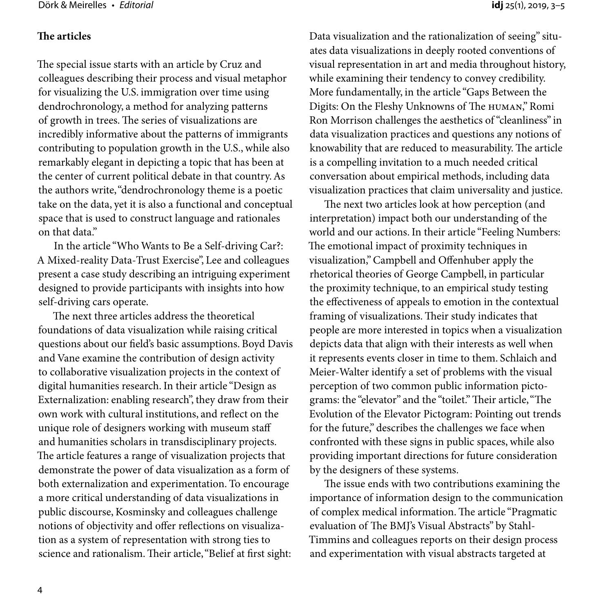#### **The articles**

The special issue starts with an article by Cruz and colleagues describing their process and visual metaphor for visualizing the U.S. immigration over time using dendrochronology, a method for analyzing patterns of growth in trees. The series of visualizations are incredibly informative about the patterns of immigrants contributing to population growth in the U.S., while also remarkably elegant in depicting a topic that has been at the center of current political debate in that country. As the authors write, "dendrochronology theme is a poetic take on the data, yet it is also a functional and conceptual space that is used to construct language and rationales on that data."

In the article "Who Wants to Be a Self-driving Car?: A Mixed-reality Data-Trust Exercise", Lee and colleagues present a case study describing an intriguing experiment designed to provide participants with insights into how self-driving cars operate.

The next three articles address the theoretical foundations of data visualization while raising critical questions about our field's basic assumptions. Boyd Davis and Vane examine the contribution of design activity to collaborative visualization projects in the context of digital humanities research. In their article "Design as Externalization: enabling research", they draw from their own work with cultural institutions, and reflect on the unique role of designers working with museum staff and humanities scholars in transdisciplinary projects. The article features a range of visualization projects that demonstrate the power of data visualization as a form of both externalization and experimentation. To encourage a more critical understanding of data visualizations in public discourse, Kosminsky and colleagues challenge notions of objectivity and offer reflections on visualization as a system of representation with strong ties to science and rationalism. Their article, "Belief at first sight:

Data visualization and the rationalization of seeing" situates data visualizations in deeply rooted conventions of visual representation in art and media throughout history, while examining their tendency to convey credibility. More fundamentally, in the article "Gaps Between the Digits: On the Fleshy Unknowns of The HUMAN," Romi Ron Morrison challenges the aesthetics of "cleanliness" in data visualization practices and questions any notions of knowability that are reduced to measurability. The article is a compelling invitation to a much needed critical conversation about empirical methods, including data visualization practices that claim universality and justice.

The next two articles look at how perception (and interpretation) impact both our understanding of the world and our actions. In their article "Feeling Numbers: The emotional impact of proximity techniques in visualization," Campbell and Offenhuber apply the rhetorical theories of George Campbell, in particular the proximity technique, to an empirical study testing the effectiveness of appeals to emotion in the contextual framing of visualizations. Their study indicates that people are more interested in topics when a visualization depicts data that align with their interests as well when it represents events closer in time to them. Schlaich and Meier-Walter identify a set of problems with the visual perception of two common public information pictograms: the "elevator" and the "toilet." Their article, "The Evolution of the Elevator Pictogram: Pointing out trends for the future," describes the challenges we face when confronted with these signs in public spaces, while also providing important directions for future consideration by the designers of these systems.

The issue ends with two contributions examining the importance of information design to the communication of complex medical information. The article "Pragmatic evaluation of The BMJ's Visual Abstracts" by Stahl-Timmins and colleagues reports on their design process and experimentation with visual abstracts targeted at